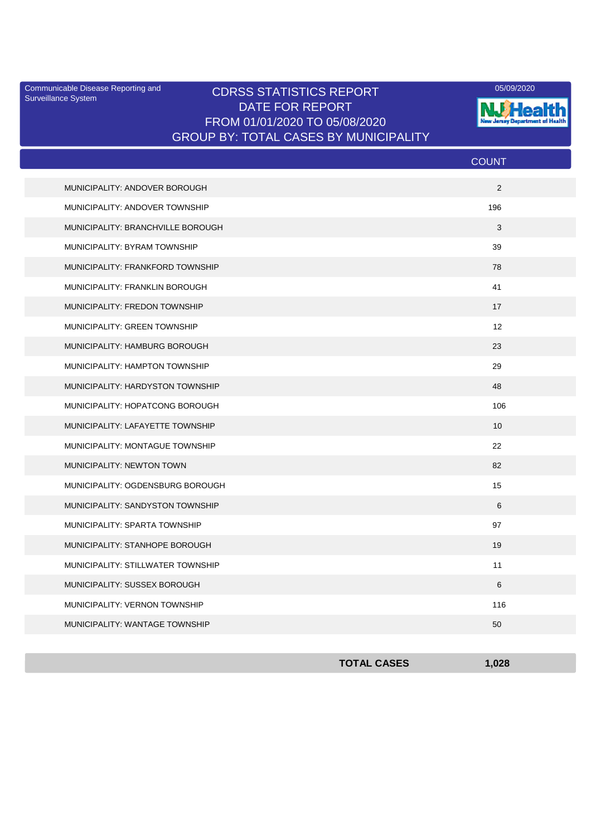Surveillance System

#### Communicable Disease Reporting and CDRSS STATISTICS REPORT <sup>05/09/2020</sup><br>Surveillance System CDRSS STATISTICS REPORT DATE FOR REPORT FROM 01/01/2020 TO 05/08/2020 GROUP BY: TOTAL CASES BY MUNICIPALITY



|                                     | <b>COUNT</b> |
|-------------------------------------|--------------|
| MUNICIPALITY: ANDOVER BOROUGH       | 2            |
| MUNICIPALITY: ANDOVER TOWNSHIP      | 196          |
| MUNICIPALITY: BRANCHVILLE BOROUGH   | 3            |
| MUNICIPALITY: BYRAM TOWNSHIP        | 39           |
| MUNICIPALITY: FRANKFORD TOWNSHIP    | 78           |
| MUNICIPALITY: FRANKLIN BOROUGH      | 41           |
| MUNICIPALITY: FREDON TOWNSHIP       | 17           |
| <b>MUNICIPALITY: GREEN TOWNSHIP</b> | 12           |
| MUNICIPALITY: HAMBURG BOROUGH       | 23           |
| MUNICIPALITY: HAMPTON TOWNSHIP      | 29           |
| MUNICIPALITY: HARDYSTON TOWNSHIP    | 48           |
| MUNICIPALITY: HOPATCONG BOROUGH     | 106          |
| MUNICIPALITY: LAFAYETTE TOWNSHIP    | 10           |
| MUNICIPALITY: MONTAGUE TOWNSHIP     | 22           |
| MUNICIPALITY: NEWTON TOWN           | 82           |
| MUNICIPALITY: OGDENSBURG BOROUGH    | 15           |
| MUNICIPALITY: SANDYSTON TOWNSHIP    | 6            |
| MUNICIPALITY: SPARTA TOWNSHIP       | 97           |
| MUNICIPALITY: STANHOPE BOROUGH      | 19           |
| MUNICIPALITY: STILLWATER TOWNSHIP   | 11           |
| MUNICIPALITY: SUSSEX BOROUGH        | 6            |
| MUNICIPALITY: VERNON TOWNSHIP       | 116          |
| MUNICIPALITY: WANTAGE TOWNSHIP      | 50           |

| <b>TOTAL CASES</b> | 1,028 |
|--------------------|-------|
|                    |       |